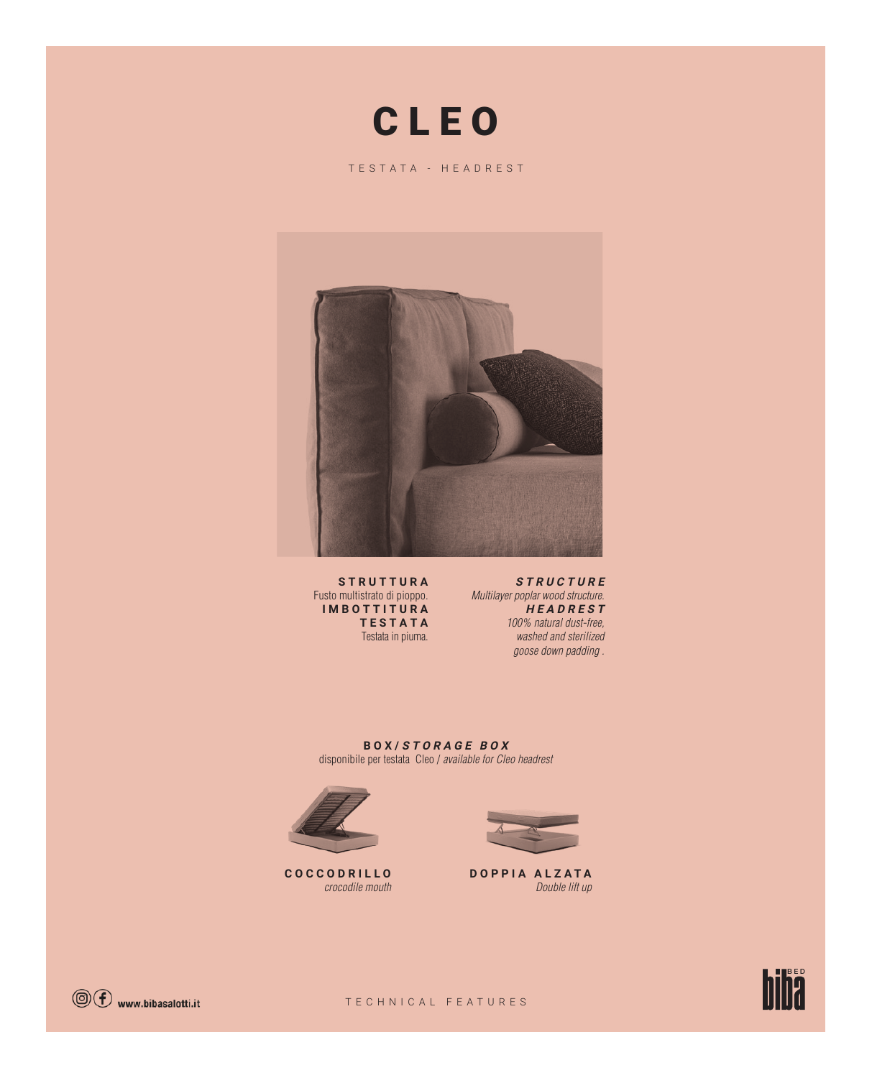# C L E O

TESTATA - HEADREST



**S T R U T T U R A**  Fusto multistrato di pioppo. **IMBOTTITURA TESTATA** Testata in piuma.

**STRUCTURE** Multilayer poplar wood structure. **HEADREST** 100% natural dust-free, washed and sterilized goose down padding .

**BOX/ STORAGE BOX** disponibile per testata Cleo / available for Cleo headrest



**COCCODRILLO** crocodile mouth



**DOPPIA ALZATA** Double lift up



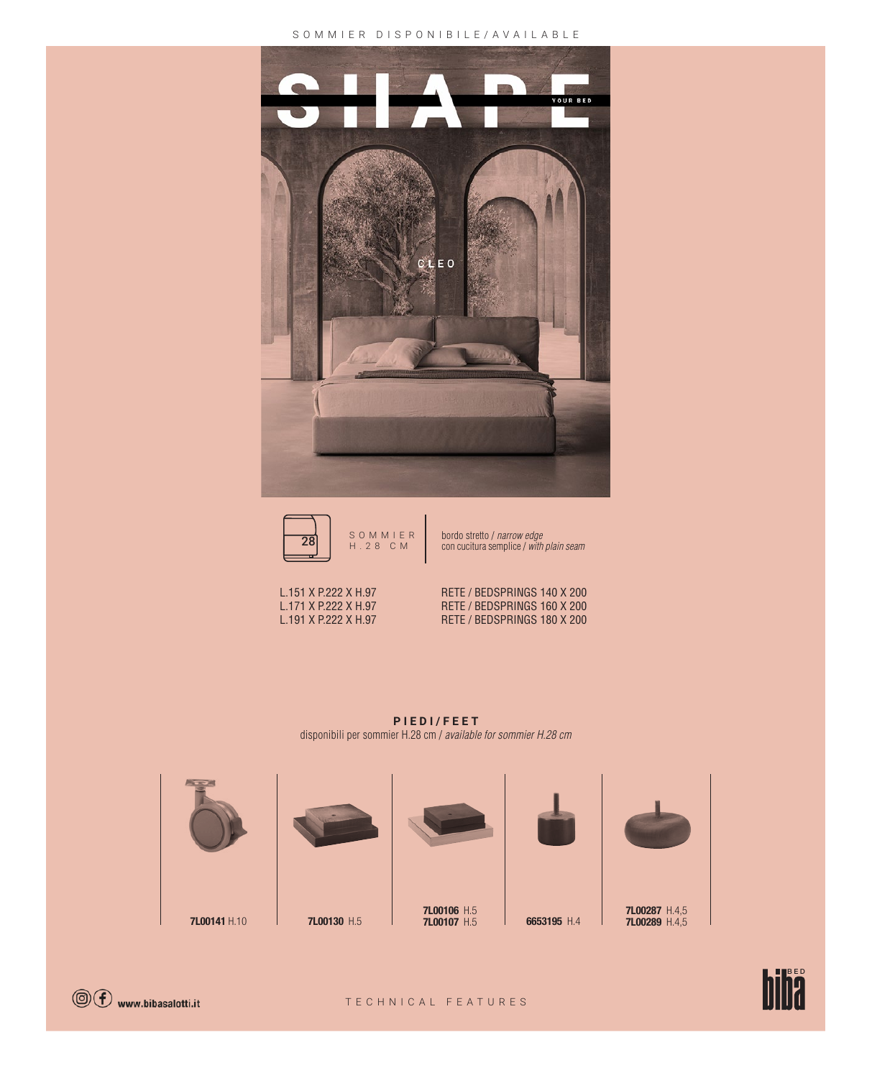## SOMMIER DISPONIBILE/AVAILABLE MINIMAL





con cucitura semplice / with plain seam

L.151 X P.222 X H.97 RETE / BEDSPRINGS 140 X 200 L.171 X P.222 X H.97 RETE / BEDSPRINGS 160 X 200<br>
L.191 X P.222 X H.97 RETE / BEDSPRINGS 180 X 200 RETE / BEDSPRINGS 180 X 200

**PIEDI/FEET** disponibili per sommier H.28 cm / available for sommier H.28 cm





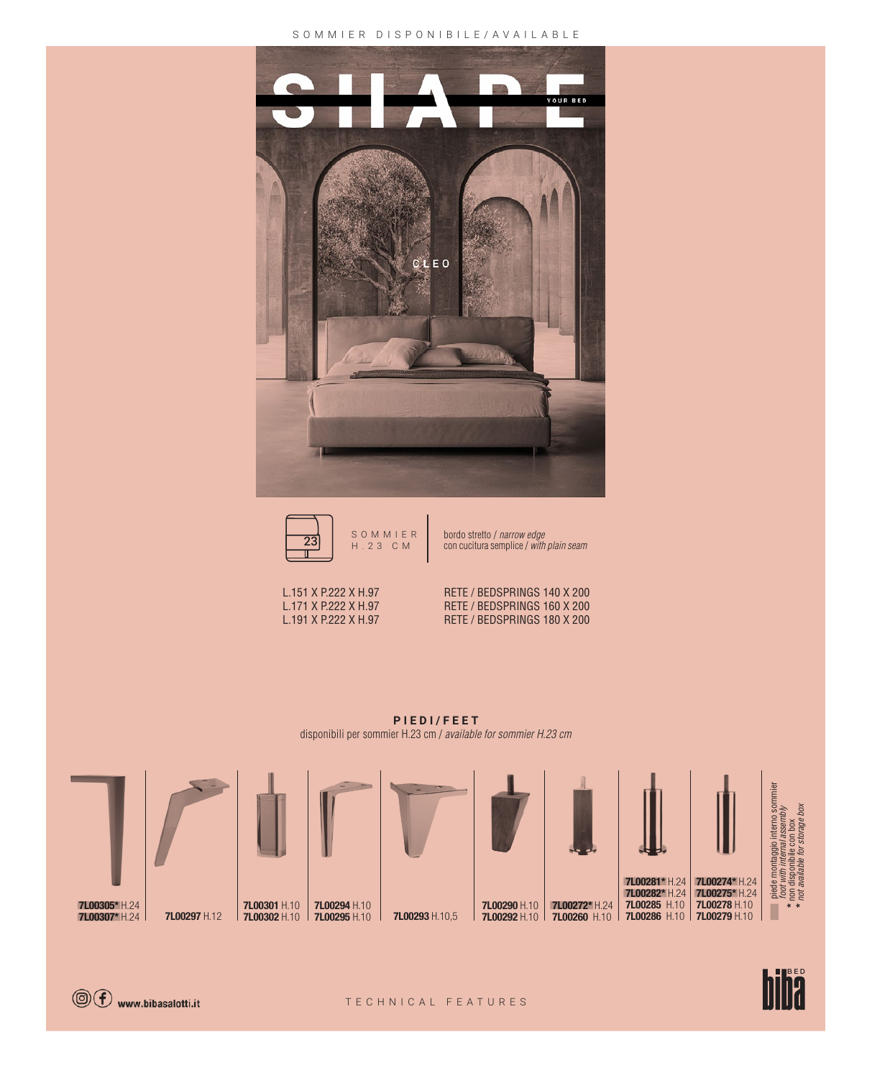## SOMMIER DISPONIBILE/AVAILABLE  $\sqrt{2}$





SOMMIER bordo stretto<br>H.23 CM con cucitura s bordo stretto / narrow edge la. con cucitura semplice / with plain seam



L.151 X P.222 X H.97 RETE / BEDSPRINGS 140 X 200 L.171 X P.222 X H.97 RETE / BEDSPRINGS 160 X 200<br>L.191 X P.222 X H.97 RETE / BEDSPRINGS 180 X 200 RETE / BEDSPRINGS 180 X 200

**PIEDI/FEET** disponibili per sommier H.23 cm / available for sommier H.23 cm





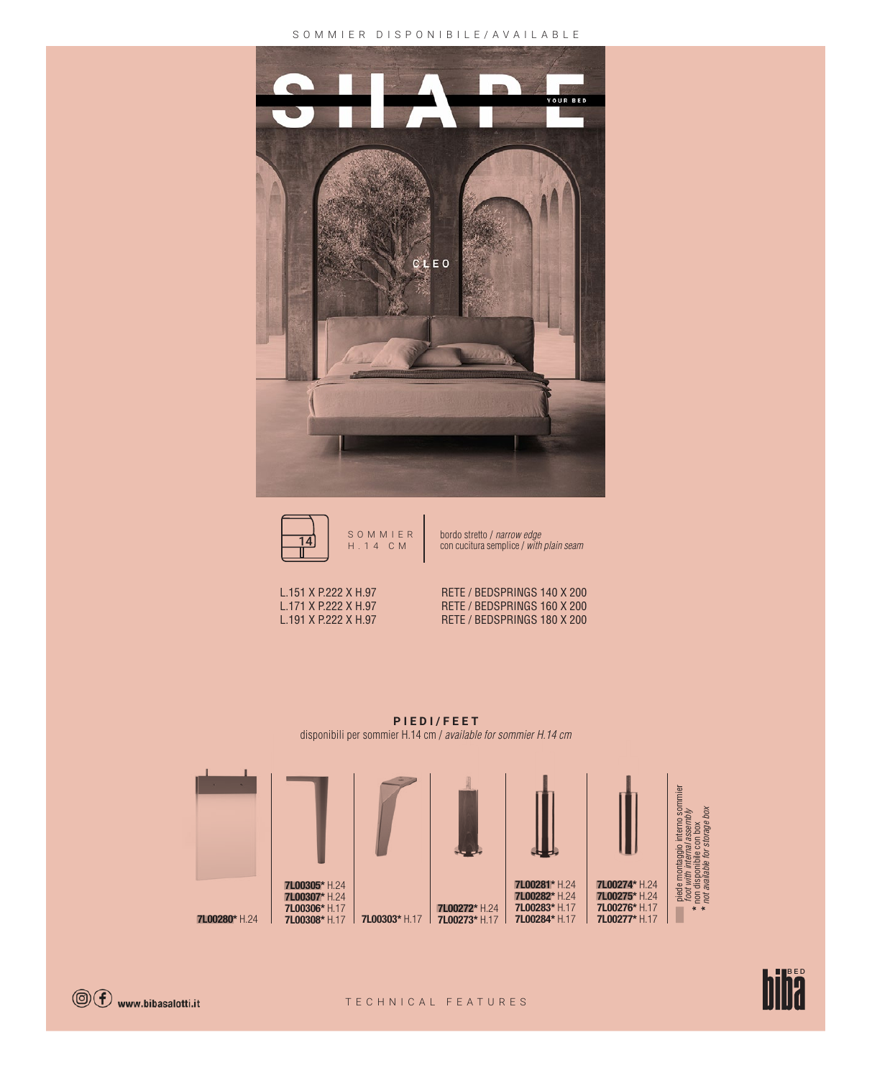#### SOMMIER DISPONIBILE/AVAILABLE





bordo stretto / narrow edge<br>con cucitura semplice / with pla r<br>Bi con cucitura semplice / with plain seam

L.151 X P.222 X H.97 RETE / BEDSPRINGS 140 X 200 L.171 X P.222 X H.97 RETE / BEDSPRINGS 160 X 200<br>L.191 X P.222 X H.97 RETE / BEDSPRINGS 180 X 200 RETE / BEDSPRINGS 180 X 200

**PIEDI/FEET** disponibili per sommier H.14 cm / available for sommier H.14 cm





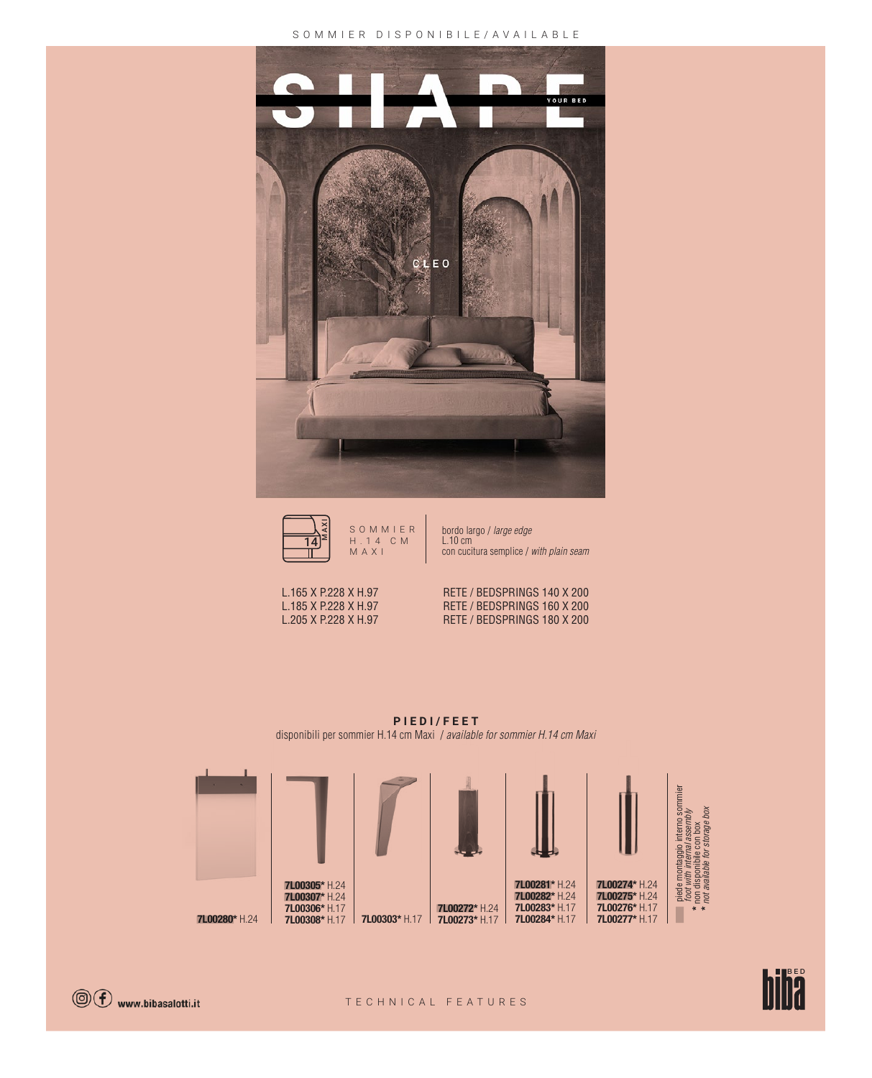#### SOMMIER DISPONIBILE/AVAILABLE





bordo largo / large edge bordo la<br>L.10 cm con cucitura semplice / with plain seam 28



L.165 X P.228 X H.97 RETE / BEDSPRINGS 140 X 200 L.185 X P.228 X H.97 RETE / BEDSPRINGS 160 X 200<br>L.205 X P.228 X H.97 RETE / BEDSPRINGS 180 X 200 RETE / BEDSPRINGS 180 X 200

**PIEDI/FEET** disponibili per sommier H.14 cm Maxi / available for sommier H.14 cm Maxi